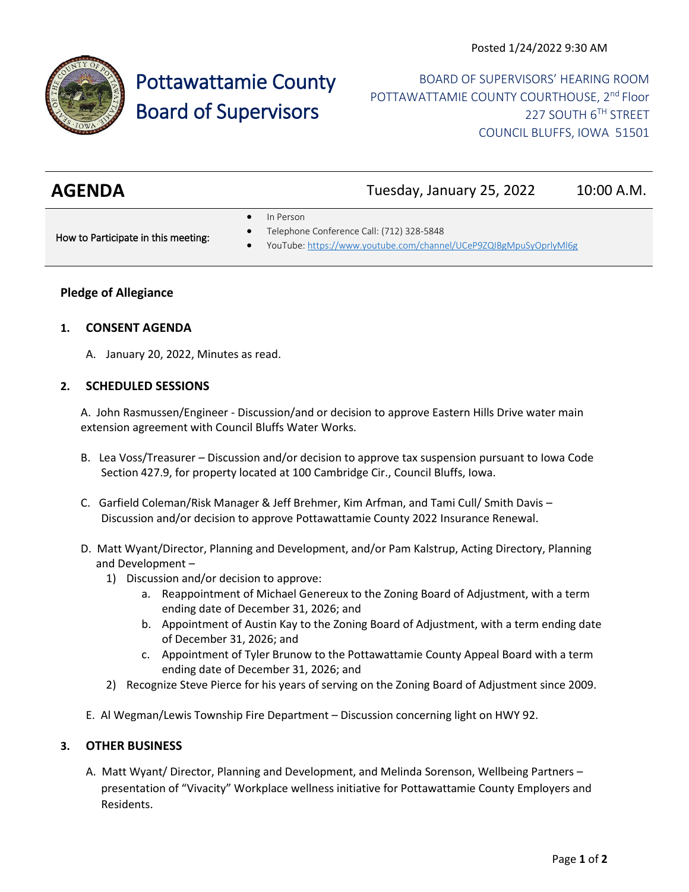

# Pottawattamie County Board of Supervisors

BOARD OF SUPERVISORS' HEARING ROOM POTTAWATTAMIE COUNTY COURTHOUSE, 2<sup>nd</sup> Floor 227 SOUTH 6TH STREET COUNCIL BLUFFS, IOWA 51501

| <b>AGENDA</b> | Tuesday, January 25, 2022 | 10:00 A.M. |
|---------------|---------------------------|------------|
|               |                           |            |

• In Person

How to Participate in this meeting:

- Telephone Conference Call: (712) 328-5848
- YouTube[: https://www.youtube.com/channel/UCeP9ZQIBgMpuSyOprlyMl6g](https://www.youtube.com/channel/UCeP9ZQIBgMpuSyOprlyMl6g)

## **Pledge of Allegiance**

#### **1. CONSENT AGENDA**

A. January 20, 2022, Minutes as read.

#### **2. SCHEDULED SESSIONS**

A. John Rasmussen/Engineer - Discussion/and or decision to approve Eastern Hills Drive water main extension agreement with Council Bluffs Water Works.

- B. Lea Voss/Treasurer Discussion and/or decision to approve tax suspension pursuant to Iowa Code Section 427.9, for property located at 100 Cambridge Cir., Council Bluffs, Iowa.
- C. Garfield Coleman/Risk Manager & Jeff Brehmer, Kim Arfman, and Tami Cull/ Smith Davis Discussion and/or decision to approve Pottawattamie County 2022 Insurance Renewal.
- D. Matt Wyant/Director, Planning and Development, and/or Pam Kalstrup, Acting Directory, Planning and Development –
	- 1) Discussion and/or decision to approve:
		- a. Reappointment of Michael Genereux to the Zoning Board of Adjustment, with a term ending date of December 31, 2026; and
		- b. Appointment of Austin Kay to the Zoning Board of Adjustment, with a term ending date of December 31, 2026; and
		- c. Appointment of Tyler Brunow to the Pottawattamie County Appeal Board with a term ending date of December 31, 2026; and
	- 2) Recognize Steve Pierce for his years of serving on the Zoning Board of Adjustment since 2009.
- E. Al Wegman/Lewis Township Fire Department Discussion concerning light on HWY 92.

# **3. OTHER BUSINESS**

A. Matt Wyant/ Director, Planning and Development, and Melinda Sorenson, Wellbeing Partners – presentation of "Vivacity" Workplace wellness initiative for Pottawattamie County Employers and Residents.